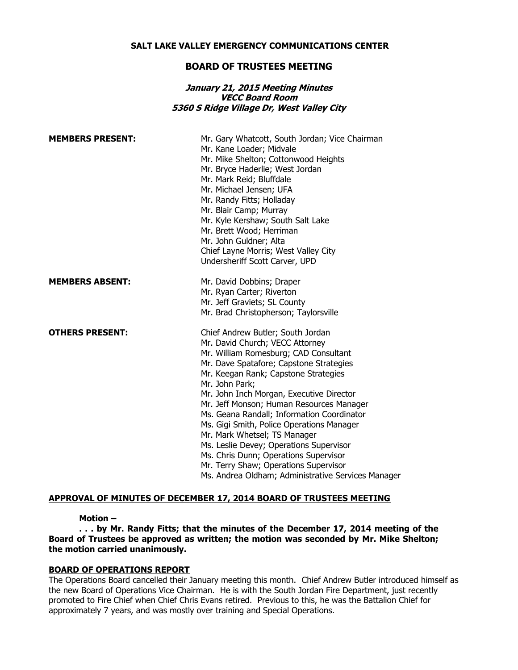### **SALT LAKE VALLEY EMERGENCY COMMUNICATIONS CENTER**

## **BOARD OF TRUSTEES MEETING**

## **January 21, 2015 Meeting Minutes VECC Board Room 5360 S Ridge Village Dr, West Valley City**

| <b>MEMBERS PRESENT:</b> | Mr. Gary Whatcott, South Jordan; Vice Chairman<br>Mr. Kane Loader; Midvale<br>Mr. Mike Shelton; Cottonwood Heights<br>Mr. Bryce Haderlie; West Jordan<br>Mr. Mark Reid; Bluffdale<br>Mr. Michael Jensen; UFA<br>Mr. Randy Fitts; Holladay<br>Mr. Blair Camp; Murray<br>Mr. Kyle Kershaw; South Salt Lake<br>Mr. Brett Wood; Herriman<br>Mr. John Guldner; Alta<br>Chief Layne Morris; West Valley City<br>Undersheriff Scott Carver, UPD                                                                                                                                                                                 |
|-------------------------|--------------------------------------------------------------------------------------------------------------------------------------------------------------------------------------------------------------------------------------------------------------------------------------------------------------------------------------------------------------------------------------------------------------------------------------------------------------------------------------------------------------------------------------------------------------------------------------------------------------------------|
| <b>MEMBERS ABSENT:</b>  | Mr. David Dobbins; Draper<br>Mr. Ryan Carter; Riverton<br>Mr. Jeff Graviets; SL County<br>Mr. Brad Christopherson; Taylorsville                                                                                                                                                                                                                                                                                                                                                                                                                                                                                          |
| <b>OTHERS PRESENT:</b>  | Chief Andrew Butler; South Jordan<br>Mr. David Church; VECC Attorney<br>Mr. William Romesburg; CAD Consultant<br>Mr. Dave Spatafore; Capstone Strategies<br>Mr. Keegan Rank; Capstone Strategies<br>Mr. John Park;<br>Mr. John Inch Morgan, Executive Director<br>Mr. Jeff Monson; Human Resources Manager<br>Ms. Geana Randall; Information Coordinator<br>Ms. Gigi Smith, Police Operations Manager<br>Mr. Mark Whetsel; TS Manager<br>Ms. Leslie Devey; Operations Supervisor<br>Ms. Chris Dunn; Operations Supervisor<br>Mr. Terry Shaw; Operations Supervisor<br>Ms. Andrea Oldham; Administrative Services Manager |

### **APPROVAL OF MINUTES OF DECEMBER 17, 2014 BOARD OF TRUSTEES MEETING**

#### **Motion –**

## **. . . by Mr. Randy Fitts; that the minutes of the December 17, 2014 meeting of the Board of Trustees be approved as written; the motion was seconded by Mr. Mike Shelton; the motion carried unanimously.**

#### **BOARD OF OPERATIONS REPORT**

The Operations Board cancelled their January meeting this month. Chief Andrew Butler introduced himself as the new Board of Operations Vice Chairman. He is with the South Jordan Fire Department, just recently promoted to Fire Chief when Chief Chris Evans retired. Previous to this, he was the Battalion Chief for approximately 7 years, and was mostly over training and Special Operations.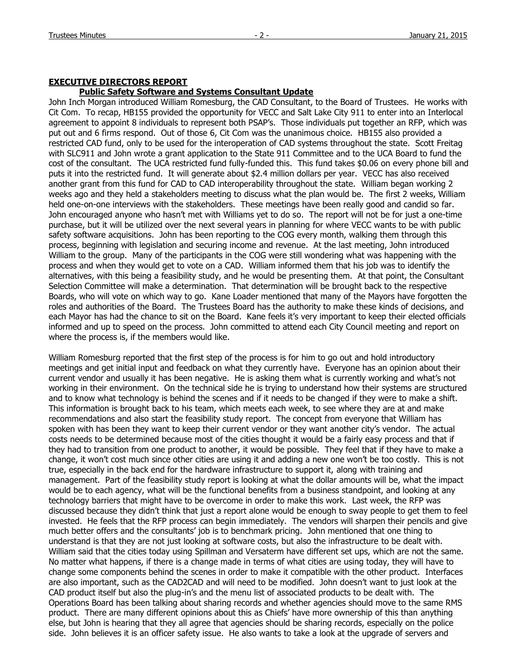### **EXECUTIVE DIRECTORS REPORT**

### **Public Safety Software and Systems Consultant Update**

John Inch Morgan introduced William Romesburg, the CAD Consultant, to the Board of Trustees. He works with Cit Com. To recap, HB155 provided the opportunity for VECC and Salt Lake City 911 to enter into an Interlocal agreement to appoint 8 individuals to represent both PSAP's. Those individuals put together an RFP, which was put out and 6 firms respond. Out of those 6, Cit Com was the unanimous choice. HB155 also provided a restricted CAD fund, only to be used for the interoperation of CAD systems throughout the state. Scott Freitag with SLC911 and John wrote a grant application to the State 911 Committee and to the UCA Board to fund the cost of the consultant. The UCA restricted fund fully-funded this. This fund takes \$0.06 on every phone bill and puts it into the restricted fund. It will generate about \$2.4 million dollars per year. VECC has also received another grant from this fund for CAD to CAD interoperability throughout the state. William began working 2 weeks ago and they held a stakeholders meeting to discuss what the plan would be. The first 2 weeks, William held one-on-one interviews with the stakeholders. These meetings have been really good and candid so far. John encouraged anyone who hasn't met with Williams yet to do so. The report will not be for just a one-time purchase, but it will be utilized over the next several years in planning for where VECC wants to be with public safety software acquisitions. John has been reporting to the COG every month, walking them through this process, beginning with legislation and securing income and revenue. At the last meeting, John introduced William to the group. Many of the participants in the COG were still wondering what was happening with the process and when they would get to vote on a CAD. William informed them that his job was to identify the alternatives, with this being a feasibility study, and he would be presenting them. At that point, the Consultant Selection Committee will make a determination. That determination will be brought back to the respective Boards, who will vote on which way to go. Kane Loader mentioned that many of the Mayors have forgotten the roles and authorities of the Board. The Trustees Board has the authority to make these kinds of decisions, and each Mayor has had the chance to sit on the Board. Kane feels it's very important to keep their elected officials informed and up to speed on the process. John committed to attend each City Council meeting and report on where the process is, if the members would like.

William Romesburg reported that the first step of the process is for him to go out and hold introductory meetings and get initial input and feedback on what they currently have. Everyone has an opinion about their current vendor and usually it has been negative. He is asking them what is currently working and what's not working in their environment. On the technical side he is trying to understand how their systems are structured and to know what technology is behind the scenes and if it needs to be changed if they were to make a shift. This information is brought back to his team, which meets each week, to see where they are at and make recommendations and also start the feasibility study report. The concept from everyone that William has spoken with has been they want to keep their current vendor or they want another city's vendor. The actual costs needs to be determined because most of the cities thought it would be a fairly easy process and that if they had to transition from one product to another, it would be possible. They feel that if they have to make a change, it won't cost much since other cities are using it and adding a new one won't be too costly. This is not true, especially in the back end for the hardware infrastructure to support it, along with training and management. Part of the feasibility study report is looking at what the dollar amounts will be, what the impact would be to each agency, what will be the functional benefits from a business standpoint, and looking at any technology barriers that might have to be overcome in order to make this work. Last week, the RFP was discussed because they didn't think that just a report alone would be enough to sway people to get them to feel invested. He feels that the RFP process can begin immediately. The vendors will sharpen their pencils and give much better offers and the consultants' job is to benchmark pricing. John mentioned that one thing to understand is that they are not just looking at software costs, but also the infrastructure to be dealt with. William said that the cities today using Spillman and Versaterm have different set ups, which are not the same. No matter what happens, if there is a change made in terms of what cities are using today, they will have to change some components behind the scenes in order to make it compatible with the other product. Interfaces are also important, such as the CAD2CAD and will need to be modified. John doesn't want to just look at the CAD product itself but also the plug-in's and the menu list of associated products to be dealt with. The Operations Board has been talking about sharing records and whether agencies should move to the same RMS product. There are many different opinions about this as Chiefs' have more ownership of this than anything else, but John is hearing that they all agree that agencies should be sharing records, especially on the police side. John believes it is an officer safety issue. He also wants to take a look at the upgrade of servers and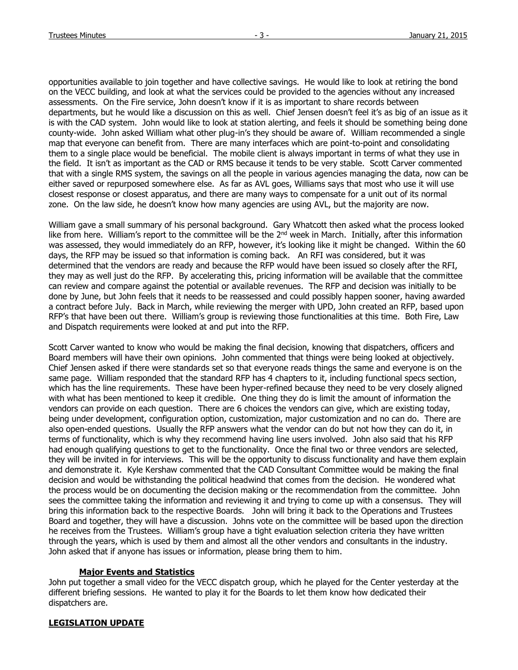opportunities available to join together and have collective savings. He would like to look at retiring the bond on the VECC building, and look at what the services could be provided to the agencies without any increased assessments. On the Fire service, John doesn't know if it is as important to share records between departments, but he would like a discussion on this as well. Chief Jensen doesn't feel it's as big of an issue as it is with the CAD system. John would like to look at station alerting, and feels it should be something being done county-wide. John asked William what other plug-in's they should be aware of. William recommended a single map that everyone can benefit from. There are many interfaces which are point-to-point and consolidating them to a single place would be beneficial. The mobile client is always important in terms of what they use in the field. It isn't as important as the CAD or RMS because it tends to be very stable. Scott Carver commented that with a single RMS system, the savings on all the people in various agencies managing the data, now can be either saved or repurposed somewhere else. As far as AVL goes, Williams says that most who use it will use closest response or closest apparatus, and there are many ways to compensate for a unit out of its normal zone. On the law side, he doesn't know how many agencies are using AVL, but the majority are now.

William gave a small summary of his personal background. Gary Whatcott then asked what the process looked like from here. William's report to the committee will be the  $2<sup>nd</sup>$  week in March. Initially, after this information was assessed, they would immediately do an RFP, however, it's looking like it might be changed. Within the 60 days, the RFP may be issued so that information is coming back. An RFI was considered, but it was determined that the vendors are ready and because the RFP would have been issued so closely after the RFI, they may as well just do the RFP. By accelerating this, pricing information will be available that the committee can review and compare against the potential or available revenues. The RFP and decision was initially to be done by June, but John feels that it needs to be reassessed and could possibly happen sooner, having awarded a contract before July. Back in March, while reviewing the merger with UPD, John created an RFP, based upon RFP's that have been out there. William's group is reviewing those functionalities at this time. Both Fire, Law and Dispatch requirements were looked at and put into the RFP.

Scott Carver wanted to know who would be making the final decision, knowing that dispatchers, officers and Board members will have their own opinions. John commented that things were being looked at objectively. Chief Jensen asked if there were standards set so that everyone reads things the same and everyone is on the same page. William responded that the standard RFP has 4 chapters to it, including functional specs section, which has the line requirements. These have been hyper-refined because they need to be very closely aligned with what has been mentioned to keep it credible. One thing they do is limit the amount of information the vendors can provide on each question. There are 6 choices the vendors can give, which are existing today, being under development, configuration option, customization, major customization and no can do. There are also open-ended questions. Usually the RFP answers what the vendor can do but not how they can do it, in terms of functionality, which is why they recommend having line users involved. John also said that his RFP had enough qualifying questions to get to the functionality. Once the final two or three vendors are selected, they will be invited in for interviews. This will be the opportunity to discuss functionality and have them explain and demonstrate it. Kyle Kershaw commented that the CAD Consultant Committee would be making the final decision and would be withstanding the political headwind that comes from the decision. He wondered what the process would be on documenting the decision making or the recommendation from the committee. John sees the committee taking the information and reviewing it and trying to come up with a consensus. They will bring this information back to the respective Boards. John will bring it back to the Operations and Trustees Board and together, they will have a discussion. Johns vote on the committee will be based upon the direction he receives from the Trustees. William's group have a tight evaluation selection criteria they have written through the years, which is used by them and almost all the other vendors and consultants in the industry. John asked that if anyone has issues or information, please bring them to him.

## **Major Events and Statistics**

John put together a small video for the VECC dispatch group, which he played for the Center yesterday at the different briefing sessions. He wanted to play it for the Boards to let them know how dedicated their dispatchers are.

# **LEGISLATION UPDATE**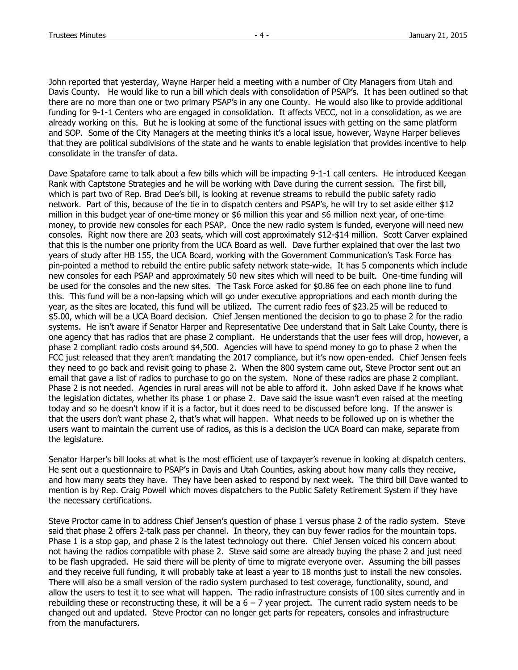John reported that yesterday, Wayne Harper held a meeting with a number of City Managers from Utah and Davis County. He would like to run a bill which deals with consolidation of PSAP's. It has been outlined so that there are no more than one or two primary PSAP's in any one County. He would also like to provide additional funding for 9-1-1 Centers who are engaged in consolidation. It affects VECC, not in a consolidation, as we are already working on this. But he is looking at some of the functional issues with getting on the same platform and SOP. Some of the City Managers at the meeting thinks it's a local issue, however, Wayne Harper believes that they are political subdivisions of the state and he wants to enable legislation that provides incentive to help consolidate in the transfer of data.

Dave Spatafore came to talk about a few bills which will be impacting 9-1-1 call centers. He introduced Keegan Rank with Captstone Strategies and he will be working with Dave during the current session. The first bill, which is part two of Rep. Brad Dee's bill, is looking at revenue streams to rebuild the public safety radio network. Part of this, because of the tie in to dispatch centers and PSAP's, he will try to set aside either \$12 million in this budget year of one-time money or \$6 million this year and \$6 million next year, of one-time money, to provide new consoles for each PSAP. Once the new radio system is funded, everyone will need new consoles. Right now there are 203 seats, which will cost approximately \$12-\$14 million. Scott Carver explained that this is the number one priority from the UCA Board as well. Dave further explained that over the last two years of study after HB 155, the UCA Board, working with the Government Communication's Task Force has pin-pointed a method to rebuild the entire public safety network state-wide. It has 5 components which include new consoles for each PSAP and approximately 50 new sites which will need to be built. One-time funding will be used for the consoles and the new sites. The Task Force asked for \$0.86 fee on each phone line to fund this. This fund will be a non-lapsing which will go under executive appropriations and each month during the year, as the sites are located, this fund will be utilized. The current radio fees of \$23.25 will be reduced to \$5.00, which will be a UCA Board decision. Chief Jensen mentioned the decision to go to phase 2 for the radio systems. He isn't aware if Senator Harper and Representative Dee understand that in Salt Lake County, there is one agency that has radios that are phase 2 compliant. He understands that the user fees will drop, however, a phase 2 compliant radio costs around \$4,500. Agencies will have to spend money to go to phase 2 when the FCC just released that they aren't mandating the 2017 compliance, but it's now open-ended. Chief Jensen feels they need to go back and revisit going to phase 2. When the 800 system came out, Steve Proctor sent out an email that gave a list of radios to purchase to go on the system. None of these radios are phase 2 compliant. Phase 2 is not needed. Agencies in rural areas will not be able to afford it. John asked Dave if he knows what the legislation dictates, whether its phase 1 or phase 2. Dave said the issue wasn't even raised at the meeting today and so he doesn't know if it is a factor, but it does need to be discussed before long. If the answer is that the users don't want phase 2, that's what will happen. What needs to be followed up on is whether the users want to maintain the current use of radios, as this is a decision the UCA Board can make, separate from the legislature.

Senator Harper's bill looks at what is the most efficient use of taxpayer's revenue in looking at dispatch centers. He sent out a questionnaire to PSAP's in Davis and Utah Counties, asking about how many calls they receive, and how many seats they have. They have been asked to respond by next week. The third bill Dave wanted to mention is by Rep. Craig Powell which moves dispatchers to the Public Safety Retirement System if they have the necessary certifications.

Steve Proctor came in to address Chief Jensen's question of phase 1 versus phase 2 of the radio system. Steve said that phase 2 offers 2-talk pass per channel. In theory, they can buy fewer radios for the mountain tops. Phase 1 is a stop gap, and phase 2 is the latest technology out there. Chief Jensen voiced his concern about not having the radios compatible with phase 2. Steve said some are already buying the phase 2 and just need to be flash upgraded. He said there will be plenty of time to migrate everyone over. Assuming the bill passes and they receive full funding, it will probably take at least a year to 18 months just to install the new consoles. There will also be a small version of the radio system purchased to test coverage, functionality, sound, and allow the users to test it to see what will happen. The radio infrastructure consists of 100 sites currently and in rebuilding these or reconstructing these, it will be a  $6 - 7$  year project. The current radio system needs to be changed out and updated. Steve Proctor can no longer get parts for repeaters, consoles and infrastructure from the manufacturers.